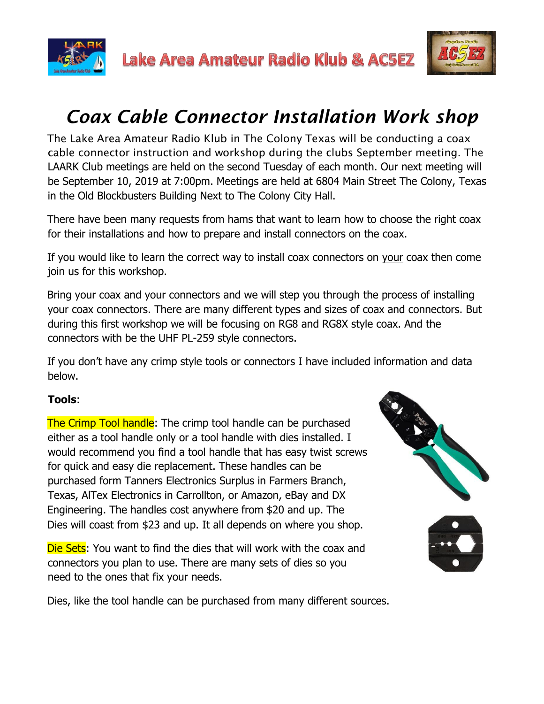



## *Coax Cable Connector Installation Work shop*

The Lake Area Amateur Radio Klub in The Colony Texas will be conducting a coax cable connector instruction and workshop during the clubs September meeting. The LAARK Club meetings are held on the second Tuesday of each month. Our next meeting will be September 10, 2019 at 7:00pm. Meetings are held at 6804 Main Street The Colony, Texas in the Old Blockbusters Building Next to The Colony City Hall.

There have been many requests from hams that want to learn how to choose the right coax for their installations and how to prepare and install connectors on the coax.

If you would like to learn the correct way to install coax connectors on your coax then come join us for this workshop.

Bring your coax and your connectors and we will step you through the process of installing your coax connectors. There are many different types and sizes of coax and connectors. But during this first workshop we will be focusing on RG8 and RG8X style coax. And the connectors with be the UHF PL-259 style connectors.

If you don't have any crimp style tools or connectors I have included information and data below.

## **Tools**:

The Crimp Tool handle: The crimp tool handle can be purchased either as a tool handle only or a tool handle with dies installed. I would recommend you find a tool handle that has easy twist screws for quick and easy die replacement. These handles can be purchased form Tanners Electronics Surplus in Farmers Branch, Texas, AlTex Electronics in Carrollton, or Amazon, eBay and DX Engineering. The handles cost anywhere from \$20 and up. The Dies will coast from \$23 and up. It all depends on where you shop.

Die Sets: You want to find the dies that will work with the coax and connectors you plan to use. There are many sets of dies so you need to the ones that fix your needs.



Dies, like the tool handle can be purchased from many different sources.